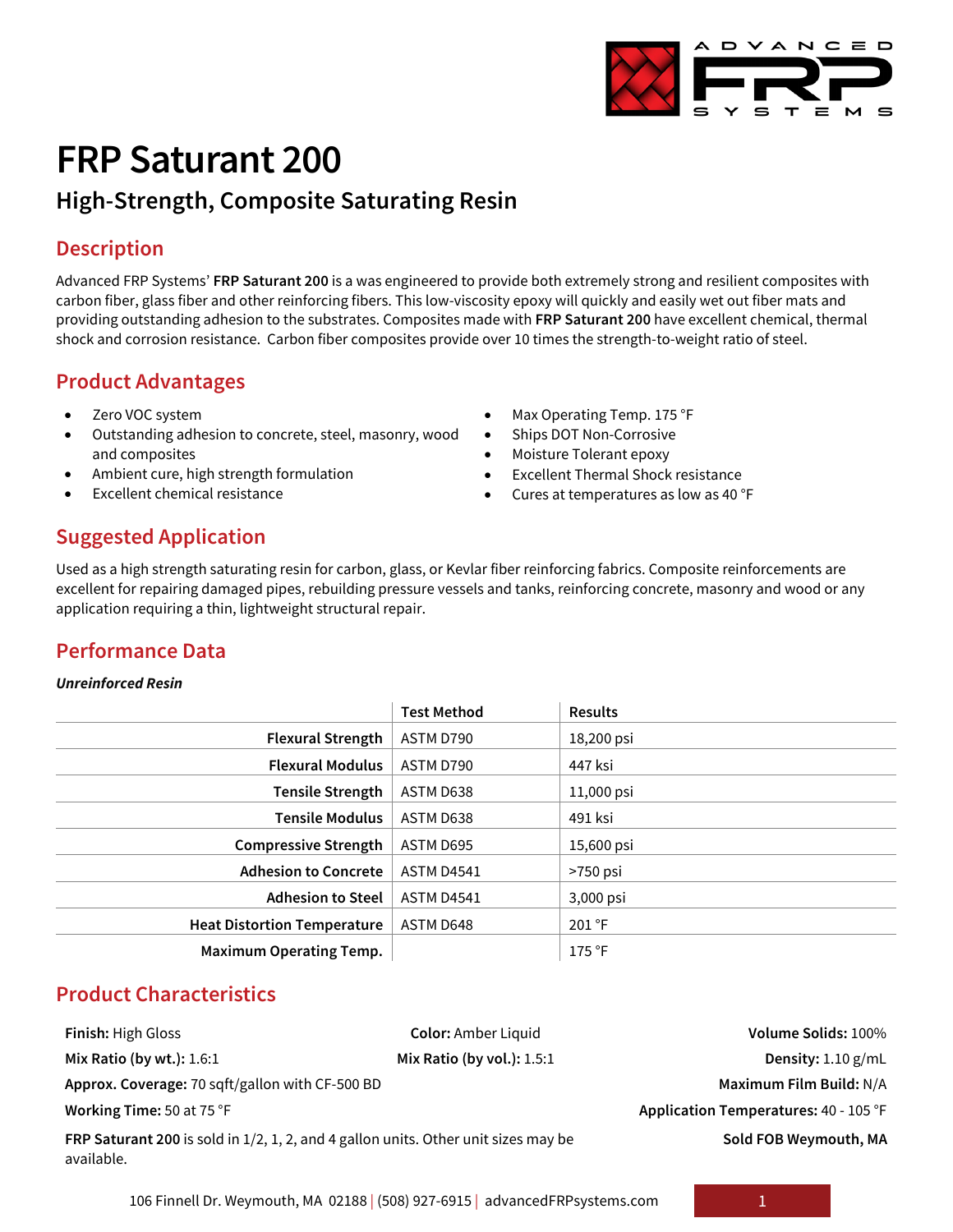

# **FRP Saturant 200**

## **High-Strength, Composite Saturating Resin**

#### **Description**

Advanced FRP Systems' **FRP Saturant 200** is a was engineered to provide both extremely strong and resilient composites with carbon fiber, glass fiber and other reinforcing fibers. This low-viscosity epoxy will quickly and easily wet out fiber mats and providing outstanding adhesion to the substrates. Composites made with **FRP Saturant 200** have excellent chemical, thermal shock and corrosion resistance. Carbon fiber composites provide over 10 times the strength-to-weight ratio of steel.

#### **Product Advantages**

- Zero VOC system
- Outstanding adhesion to concrete, steel, masonry, wood and composites
- Ambient cure, high strength formulation
- Excellent chemical resistance
- Max Operating Temp. 175 °F
- Ships DOT Non-Corrosive
- Moisture Tolerant epoxy
- Excellent Thermal Shock resistance
- Cures at temperatures as low as 40 °F

## **Suggested Application**

Used as a high strength saturating resin for carbon, glass, or Kevlar fiber reinforcing fabrics. Composite reinforcements are excellent for repairing damaged pipes, rebuilding pressure vessels and tanks, reinforcing concrete, masonry and wood or any application requiring a thin, lightweight structural repair.

## **Performance Data**

#### *Unreinforced Resin*

|                                    | <b>Test Method</b> | <b>Results</b> |
|------------------------------------|--------------------|----------------|
| <b>Flexural Strength</b>           | ASTM D790          | 18,200 psi     |
| <b>Flexural Modulus</b>            | ASTM D790          | 447 ksi        |
| <b>Tensile Strength</b>            | ASTM D638          | 11,000 psi     |
| <b>Tensile Modulus</b>             | ASTM D638          | 491 ksi        |
| <b>Compressive Strength</b>        | ASTM D695          | 15,600 psi     |
| <b>Adhesion to Concrete</b>        | ASTM D4541         | $>750$ psi     |
| <b>Adhesion to Steel</b>           | <b>ASTM D4541</b>  | 3,000 psi      |
| <b>Heat Distortion Temperature</b> | ASTM D648          | 201 °F         |
| <b>Maximum Operating Temp.</b>     |                    | 175 °F         |

## **Product Characteristics**

**Approx. Coverage:** 70 sqft/gallon with CF-500 BD **Maximum Film Build:** N/A

**FRP Saturant 200** is sold in 1/2, 1, 2, and 4 gallon units. Other unit sizes may be available.

**Finish:** High Gloss **Color:** Amber Liquid **Volume Solids:** 100% **Mix Ratio (by wt.):** 1.6:1 **Mix Ratio (by vol.):** 1.5:1 **Density:** 1.10 g/mL **Working Time:** 50 at 75 °F **Application Temperatures:** 40 - 105 °F **Sold FOB Weymouth, MA**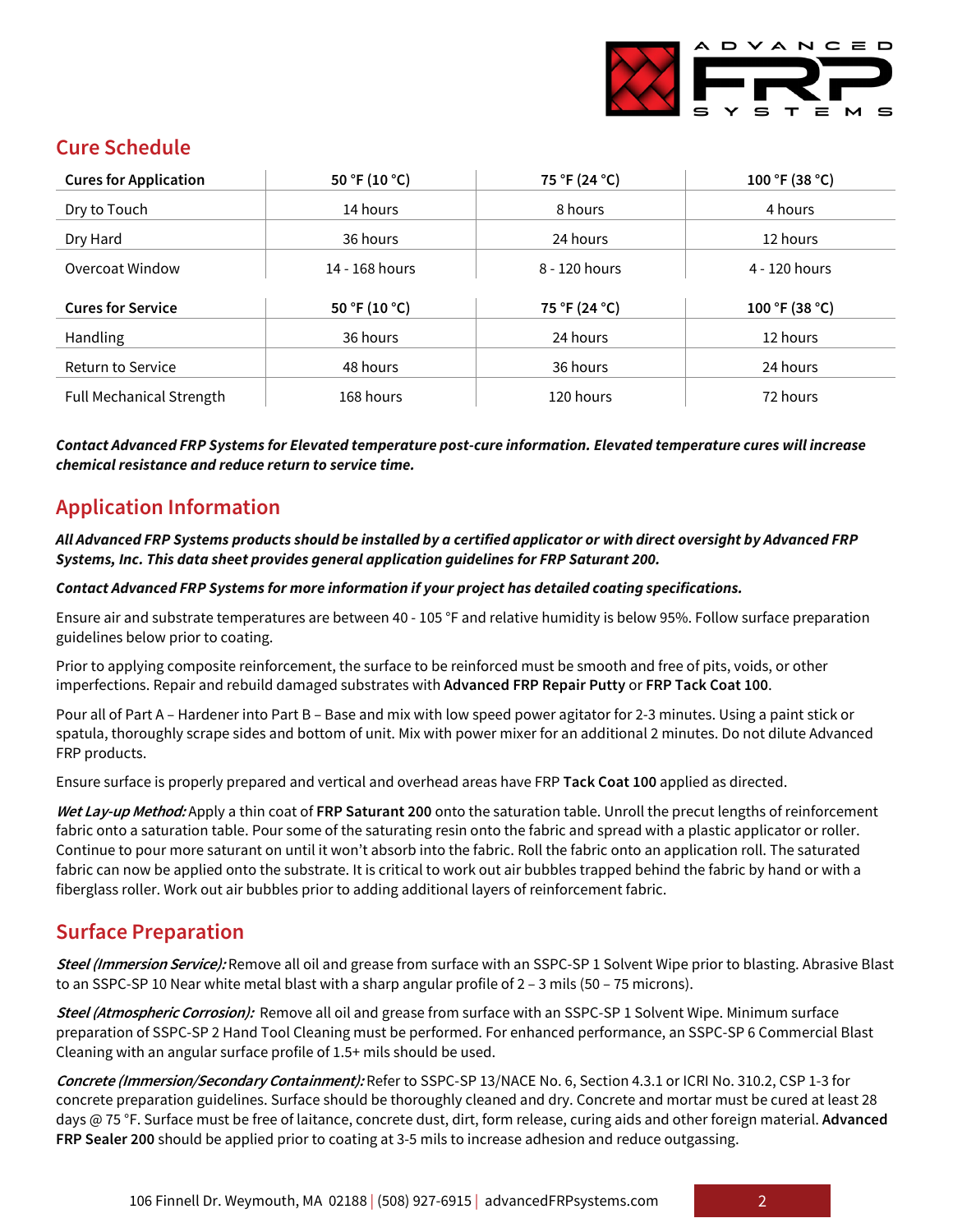

## **Cure Schedule**

| <b>Cures for Application</b>    | 50 °F (10 °C)  | 75 °F (24 °C) | 100 °F (38 °C) |
|---------------------------------|----------------|---------------|----------------|
| Dry to Touch                    | 14 hours       | 8 hours       | 4 hours        |
| Dry Hard                        | 36 hours       | 24 hours      | 12 hours       |
| Overcoat Window                 | 14 - 168 hours | 8 - 120 hours | 4 - 120 hours  |
|                                 |                |               |                |
| <b>Cures for Service</b>        | 50 °F (10 °C)  | 75 °F (24 °C) | 100 °F (38 °C) |
| Handling                        | 36 hours       | 24 hours      | 12 hours       |
| <b>Return to Service</b>        | 48 hours       | 36 hours      | 24 hours       |
| <b>Full Mechanical Strength</b> | 168 hours      | 120 hours     | 72 hours       |

*Contact Advanced FRP Systems for Elevated temperature post-cure information. Elevated temperature cures will increase chemical resistance and reduce return to service time.*

## **Application Information**

#### *All Advanced FRP Systems products should be installed by a certified applicator or with direct oversight by Advanced FRP Systems, Inc. This data sheet provides general application guidelines for FRP Saturant 200.*

#### *Contact Advanced FRP Systems for more information if your project has detailed coating specifications.*

Ensure air and substrate temperatures are between 40 - 105 °F and relative humidity is below 95%. Follow surface preparation guidelines below prior to coating.

Prior to applying composite reinforcement, the surface to be reinforced must be smooth and free of pits, voids, or other imperfections. Repair and rebuild damaged substrates with **Advanced FRP Repair Putty** or **FRP Tack Coat 100**.

Pour all of Part A – Hardener into Part B – Base and mix with low speed power agitator for 2-3 minutes. Using a paint stick or spatula, thoroughly scrape sides and bottom of unit. Mix with power mixer for an additional 2 minutes. Do not dilute Advanced FRP products.

Ensure surface is properly prepared and vertical and overhead areas have FRP **Tack Coat 100** applied as directed.

**Wet Lay-up Method:** Apply a thin coat of **FRP Saturant 200** onto the saturation table. Unroll the precut lengths of reinforcement fabric onto a saturation table. Pour some of the saturating resin onto the fabric and spread with a plastic applicator or roller. Continue to pour more saturant on until it won't absorb into the fabric. Roll the fabric onto an application roll. The saturated fabric can now be applied onto the substrate. It is critical to work out air bubbles trapped behind the fabric by hand or with a fiberglass roller. Work out air bubbles prior to adding additional layers of reinforcement fabric.

#### **Surface Preparation**

**Steel (Immersion Service):** Remove all oil and grease from surface with an SSPC-SP 1 Solvent Wipe prior to blasting. Abrasive Blast to an SSPC-SP 10 Near white metal blast with a sharp angular profile of 2 - 3 mils (50 - 75 microns).

**Steel (Atmospheric Corrosion):** Remove all oil and grease from surface with an SSPC-SP 1 Solvent Wipe. Minimum surface preparation of SSPC-SP 2 Hand Tool Cleaning must be performed. For enhanced performance, an SSPC-SP 6 Commercial Blast Cleaning with an angular surface profile of 1.5+ mils should be used.

**Concrete (Immersion/Secondary Containment):** Refer to SSPC-SP 13/NACE No. 6, Section 4.3.1 or ICRI No. 310.2, CSP 1-3 for concrete preparation guidelines. Surface should be thoroughly cleaned and dry. Concrete and mortar must be cured at least 28 days @ 75 °F. Surface must be free of laitance, concrete dust, dirt, form release, curing aids and other foreign material. **Advanced FRP Sealer 200** should be applied prior to coating at 3-5 mils to increase adhesion and reduce outgassing.